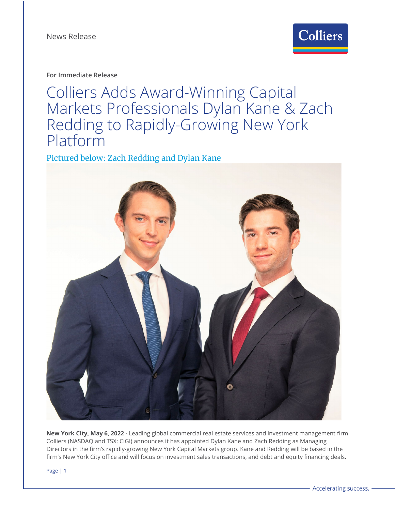

**For Immediate Release**

Colliers Adds Award-Winning Capital Markets Professionals Dylan Kane & Zach Redding to Rapidly-Growing New York Platform

Pictured below: Zach Redding and Dylan Kane



**New York City, May 6, 2022 -** Leading global commercial real estate services and investment management firm Colliers (NASDAQ and TSX: CIGI) announces it has appointed Dylan Kane and Zach Redding as Managing Directors in the firm's rapidly-growing New York Capital Markets group. Kane and Redding will be based in the firm's New York City office and will focus on investment sales transactions, and debt and equity financing deals.

Page | 1